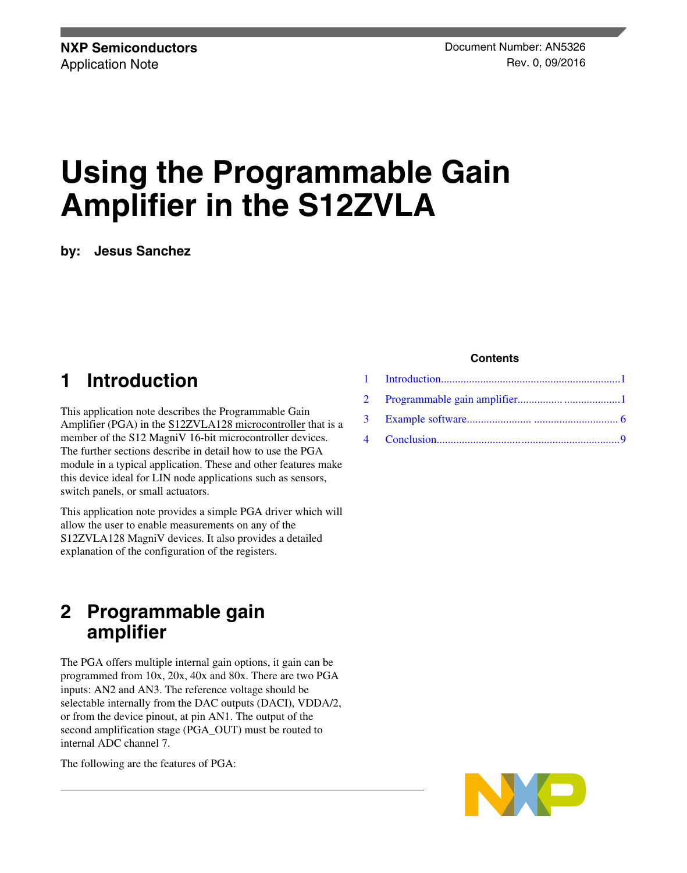# **Using the Programmable Gain Amplifier in the S12ZVLA**

**by: Jesus Sanchez**

### **1 Introduction**

This application note describes the Programmable Gain Amplifier (PGA) in the [S12ZVLA128 microcontroller](https://www.nxp.com/products/processors-and-microcontrollers/additional-mpu-mcus-architectures/s12-magniv-mixed-signal-mcus/s12zvl-mixed-signal-mcu-for-automotive-industrial-lin-applications:S12ZVL?utm_medium=AN-2021) that is a member of the S12 MagniV 16-bit microcontroller devices. The further sections describe in detail how to use the PGA module in a typical application. These and other features make this device ideal for LIN node applications such as sensors, switch panels, or small actuators.

This application note provides a simple PGA driver which will allow the user to enable measurements on any of the S12ZVLA128 MagniV devices. It also provides a detailed explanation of the configuration of the registers.

### **2 Programmable gain amplifier**

The PGA offers multiple internal gain options, it gain can be programmed from 10x, 20x, 40x and 80x. There are two PGA inputs: AN2 and AN3. The reference voltage should be selectable internally from the DAC outputs (DACI), VDDA/2, or from the device pinout, at pin AN1. The output of the second amplification stage (PGA\_OUT) must be routed to internal ADC channel 7.

The following are the features of PGA:

#### **Contents**

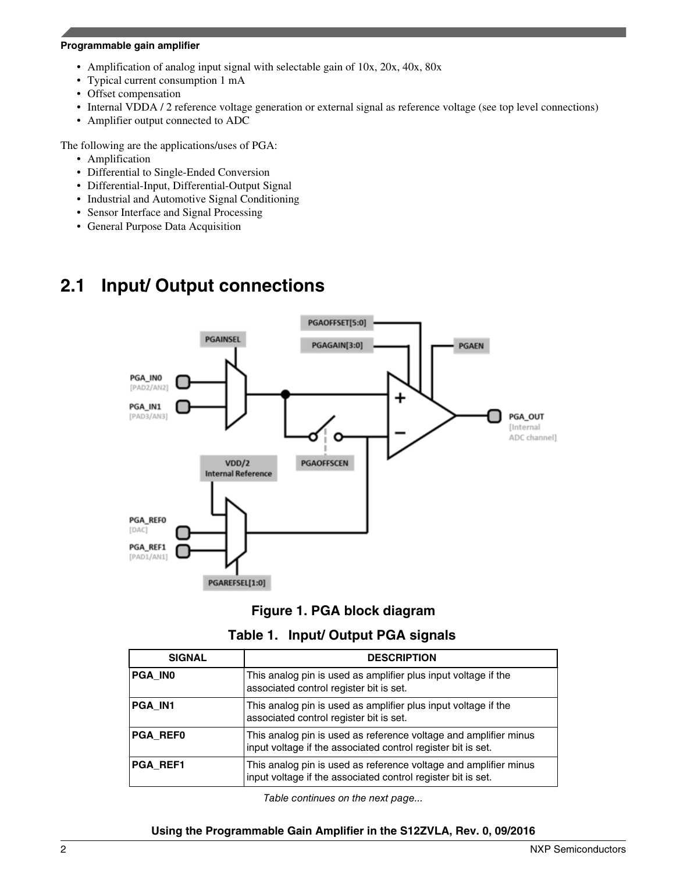#### **Programmable gain amplifier**

- Amplification of analog input signal with selectable gain of 10x, 20x, 40x, 80x
- Typical current consumption 1 mA
- Offset compensation
- Internal VDDA / 2 reference voltage generation or external signal as reference voltage (see top level connections)
- Amplifier output connected to ADC

The following are the applications/uses of PGA:

- Amplification
- Differential to Single-Ended Conversion
- Differential-Input, Differential-Output Signal
- Industrial and Automotive Signal Conditioning
- Sensor Interface and Signal Processing
- General Purpose Data Acquisition

### **2.1 Input/ Output connections**



#### **Figure 1. PGA block diagram**

|  |  |  | Table 1. Input/ Output PGA signals |
|--|--|--|------------------------------------|
|--|--|--|------------------------------------|

| <b>SIGNAL</b>   | <b>DESCRIPTION</b>                                                                                                               |  |  |
|-----------------|----------------------------------------------------------------------------------------------------------------------------------|--|--|
| <b>PGA INO</b>  | This analog pin is used as amplifier plus input voltage if the<br>associated control register bit is set.                        |  |  |
| <b>PGA IN1</b>  | This analog pin is used as amplifier plus input voltage if the<br>associated control register bit is set.                        |  |  |
| <b>PGA REFO</b> | This analog pin is used as reference voltage and amplifier minus<br>input voltage if the associated control register bit is set. |  |  |
| <b>PGA REF1</b> | This analog pin is used as reference voltage and amplifier minus<br>input voltage if the associated control register bit is set. |  |  |

*Table continues on the next page...*

#### **Using the Programmable Gain Amplifier in the S12ZVLA, Rev. 0, 09/2016**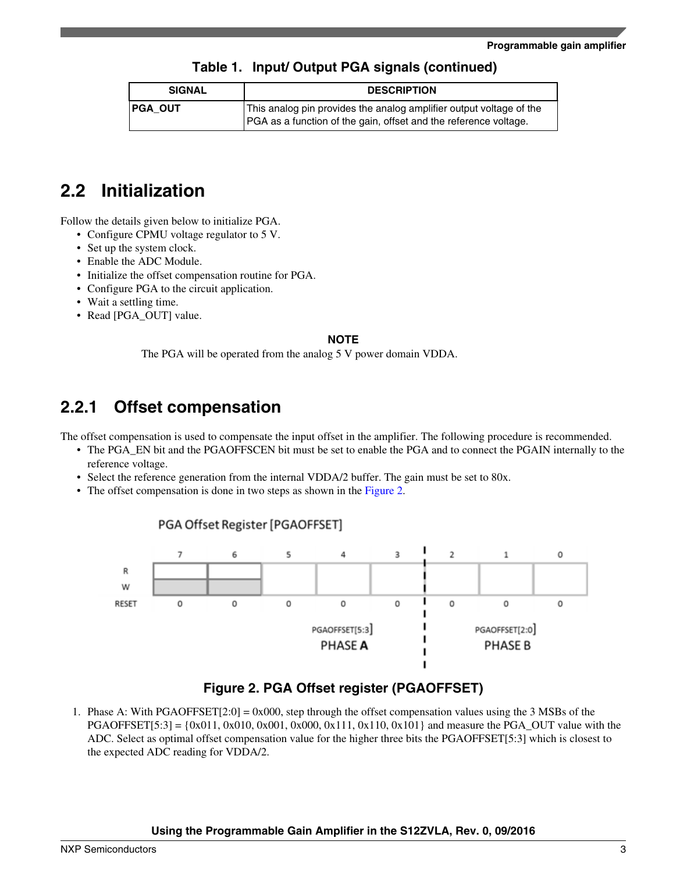#### **Table 1. Input/ Output PGA signals (continued)**

| <b>SIGNAL</b>  | <b>DESCRIPTION</b>                                                                                                                             |  |
|----------------|------------------------------------------------------------------------------------------------------------------------------------------------|--|
| <b>PGA OUT</b> | This analog pin provides the analog amplifier output voltage of the<br><b>PGA</b> as a function of the gain, offset and the reference voltage. |  |

### **2.2 Initialization**

Follow the details given below to initialize PGA.

- Configure CPMU voltage regulator to 5 V.
- Set up the system clock.
- Enable the ADC Module.
- Initialize the offset compensation routine for PGA.
- Configure PGA to the circuit application.
- Wait a settling time.
- Read [PGA\_OUT] value.

#### **NOTE**

The PGA will be operated from the analog 5 V power domain VDDA.

### **2.2.1 Offset compensation**

The offset compensation is used to compensate the input offset in the amplifier. The following procedure is recommended.

- The PGA\_EN bit and the PGAOFFSCEN bit must be set to enable the PGA and to connect the PGAIN internally to the reference voltage.
- Select the reference generation from the internal VDDA/2 buffer. The gain must be set to 80x.
- The offset compensation is done in two steps as shown in the Figure 2.

PGA Offset Register [PGAOFFSET]



### **Figure 2. PGA Offset register (PGAOFFSET)**

1. Phase A: With PGAOFFSET[2:0] = 0x000, step through the offset compensation values using the 3 MSBs of the PGAOFFSET[5:3] = {0x011, 0x010, 0x001, 0x000, 0x111, 0x110, 0x101} and measure the PGA\_OUT value with the ADC. Select as optimal offset compensation value for the higher three bits the PGAOFFSET[5:3] which is closest to the expected ADC reading for VDDA/2.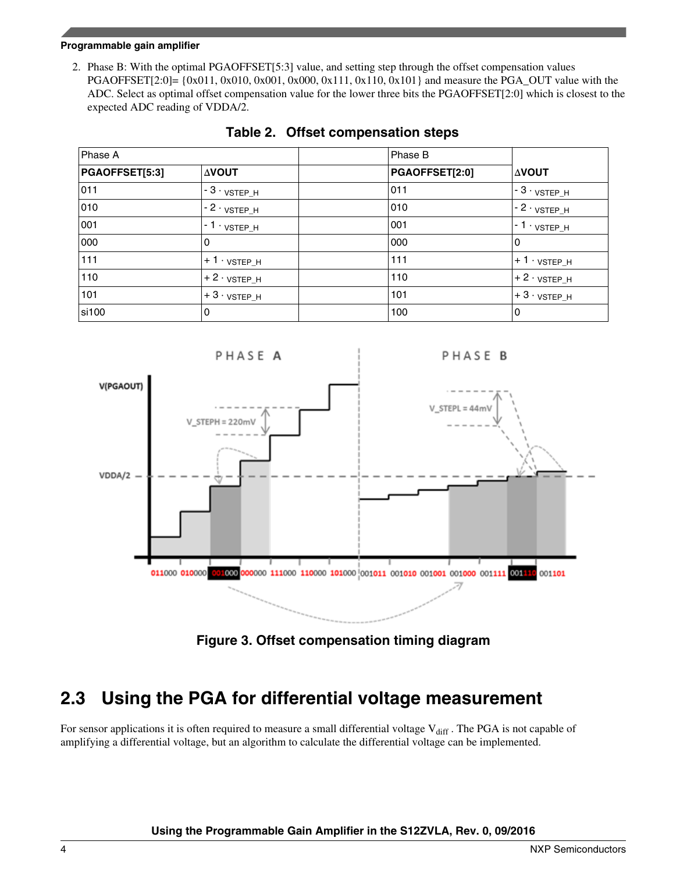#### **Programmable gain amplifier**

2. Phase B: With the optimal PGAOFFSET[5:3] value, and setting step through the offset compensation values PGAOFFSET[2:0]=  $\{0x011, 0x010, 0x001, 0x000, 0x111, 0x110, 0x101\}$  and measure the PGA\_OUT value with the ADC. Select as optimal offset compensation value for the lower three bits the PGAOFFSET[2:0] which is closest to the expected ADC reading of VDDA/2.

| Phase A        |                            | Phase B        |                            |
|----------------|----------------------------|----------------|----------------------------|
| PGAOFFSET[5:3] | <b>AVOUT</b>               | PGAOFFSET[2:0] | <b>AVOUT</b>               |
| 011            | , - 3 · vsтєр_н            | 011            | <sub>∣</sub> - З · vsтєр_н |
| 010            | , - 2 · <sub>VSTEP_H</sub> | 010            | <sub>∣</sub> - 2 · vsтєр_н |
| 001            | , - 1 · vsтєр_н            | 001            | ∣ - 1 · vsтєр_н            |
| 000            | 0                          | 000            | 0                          |
| 111            | $+1.95FEP_H$               | 111            | <sub>I</sub> +1 · vsтєр_н  |
| 110            | $+2.9$ vstep_h             | 110            | $+2.9$ vstep_h             |
| 101            | <sub>i</sub> + З · vsтєр_н | 101            | $+3.3$ vstep_h             |
| si100          | 0                          | 100            | 0                          |

#### **Table 2. Offset compensation steps**



**Figure 3. Offset compensation timing diagram**

### **2.3 Using the PGA for differential voltage measurement**

For sensor applications it is often required to measure a small differential voltage  $V_{diff}$ . The PGA is not capable of amplifying a differential voltage, but an algorithm to calculate the differential voltage can be implemented.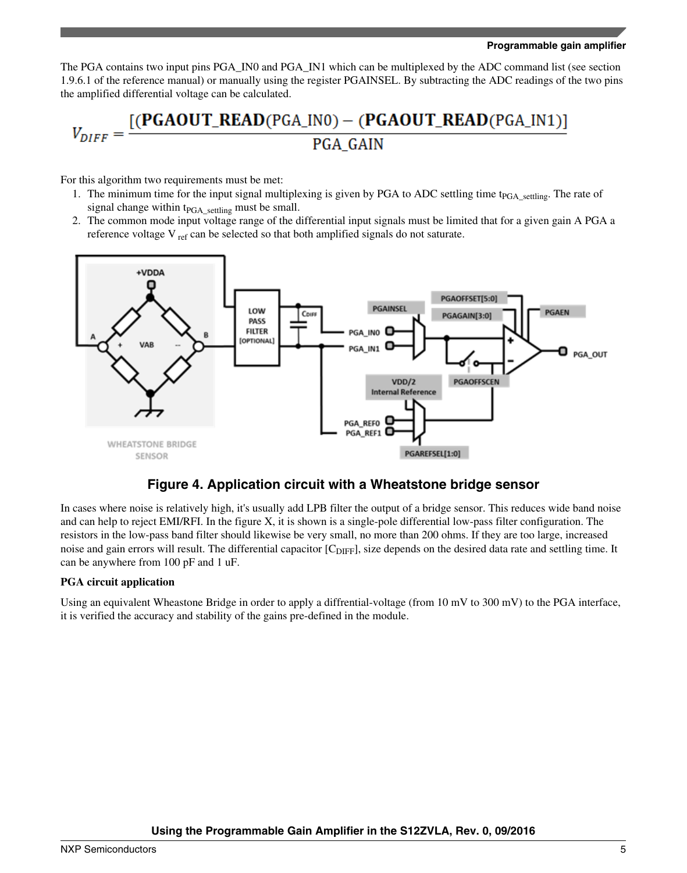The PGA contains two input pins PGA\_IN0 and PGA\_IN1 which can be multiplexed by the ADC command list (see section 1.9.6.1 of the reference manual) or manually using the register PGAINSEL. By subtracting the ADC readings of the two pins the amplified differential voltage can be calculated.

## $V_{DIFF} = \frac{[(\text{PGAOUT\_READ}(\text{PGA\_INO}) - (\text{PGAOUT\_READ}(\text{PGA\_IN1}))]}{PCA\_CAND}$ PGA\_GAIN

For this algorithm two requirements must be met:

- 1. The minimum time for the input signal multiplexing is given by PGA to ADC settling time t<sub>PGA</sub> settling. The rate of signal change within  $t_{PGA\_setting}$  must be small.
- 2. The common mode input voltage range of the differential input signals must be limited that for a given gain A PGA a reference voltage V ref can be selected so that both amplified signals do not saturate.



#### **Figure 4. Application circuit with a Wheatstone bridge sensor**

In cases where noise is relatively high, it's usually add LPB filter the output of a bridge sensor. This reduces wide band noise and can help to reject EMI/RFI. In the figure X, it is shown is a single-pole differential low-pass filter configuration. The resistors in the low-pass band filter should likewise be very small, no more than 200 ohms. If they are too large, increased noise and gain errors will result. The differential capacitor [C<sub>DIFF</sub>], size depends on the desired data rate and settling time. It can be anywhere from 100 pF and 1 uF.

#### **PGA circuit application**

Using an equivalent Wheastone Bridge in order to apply a diffrential-voltage (from 10 mV to 300 mV) to the PGA interface, it is verified the accuracy and stability of the gains pre-defined in the module.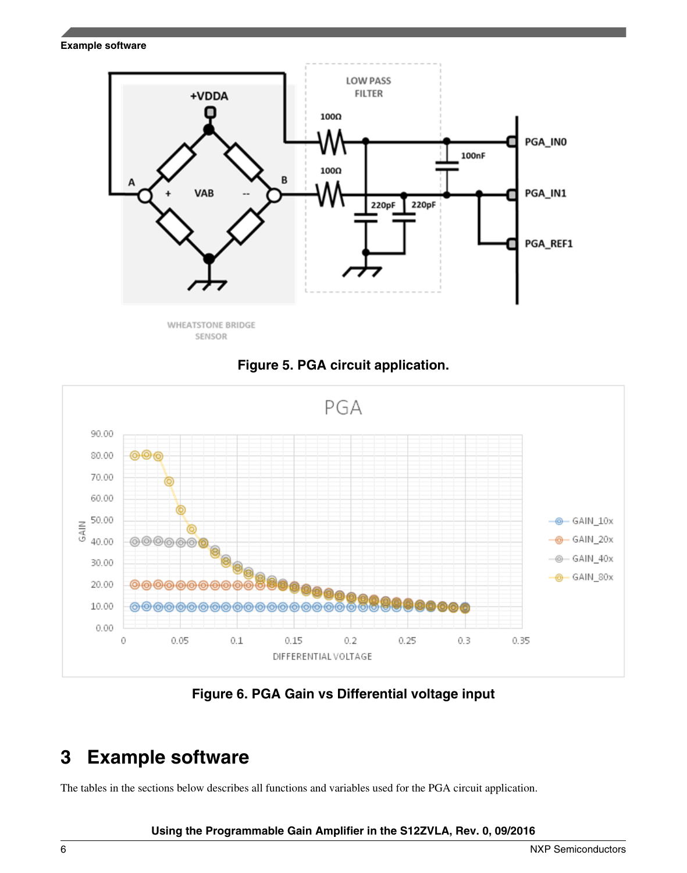<span id="page-5-0"></span>**Example software**



SENSOR





**Figure 6. PGA Gain vs Differential voltage input**

### **3 Example software**

The tables in the sections below describes all functions and variables used for the PGA circuit application.

#### **Using the Programmable Gain Amplifier in the S12ZVLA, Rev. 0, 09/2016**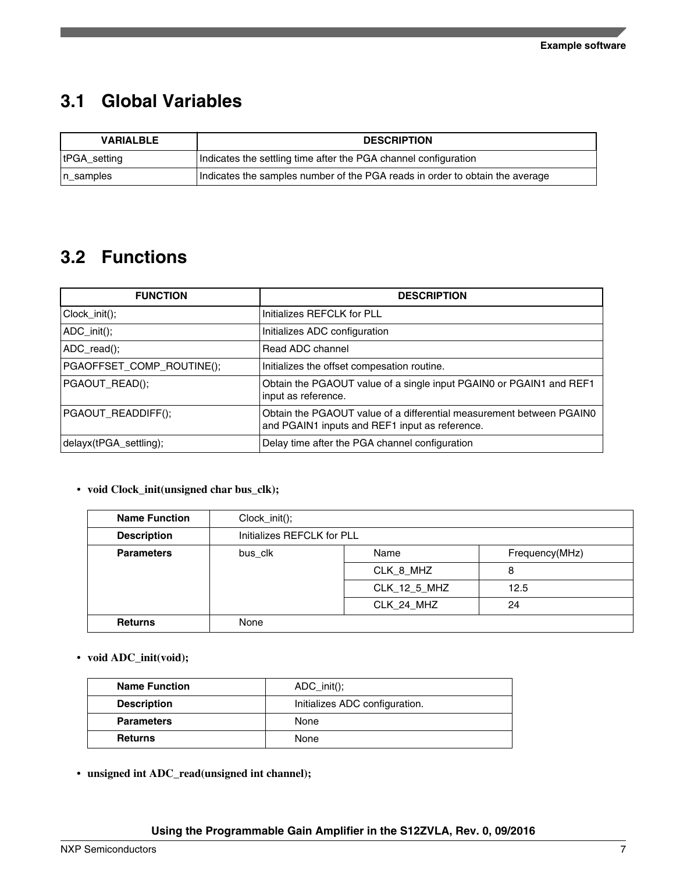### **3.1 Global Variables**

| <b>DESCRIPTION</b><br><b>VARIALBLE</b>                                                       |                                                                 |  |
|----------------------------------------------------------------------------------------------|-----------------------------------------------------------------|--|
| tPGA_setting                                                                                 | Indicates the settling time after the PGA channel configuration |  |
| Indicates the samples number of the PGA reads in order to obtain the average<br>$ n$ samples |                                                                 |  |

### **3.2 Functions**

| <b>FUNCTION</b>           | <b>DESCRIPTION</b>                                                                                                     |
|---------------------------|------------------------------------------------------------------------------------------------------------------------|
| $Clock_init()$ ;          | Initializes REFCLK for PLL                                                                                             |
| $ADC_init()$ ;            | Initializes ADC configuration                                                                                          |
| ADC <sub>real</sub>       | Read ADC channel                                                                                                       |
| PGAOFFSET_COMP_ROUTINE(); | Initializes the offset compesation routine.                                                                            |
| PGAOUT_READ();            | Obtain the PGAOUT value of a single input PGAIN0 or PGAIN1 and REF1<br>input as reference.                             |
| PGAOUT_READDIFF();        | Obtain the PGAOUT value of a differential measurement between PGAIN0<br>and PGAIN1 inputs and REF1 input as reference. |
| delayx(tPGA_settling);    | Delay time after the PGA channel configuration                                                                         |

#### • **void Clock\_init(unsigned char bus\_clk);**

| <b>Name Function</b> | $Clock_init()$ ;           |                        |      |  |
|----------------------|----------------------------|------------------------|------|--|
| <b>Description</b>   | Initializes REFCLK for PLL |                        |      |  |
| <b>Parameters</b>    | bus_clk                    | Name<br>Frequency(MHz) |      |  |
|                      |                            | CLK_8_MHZ              | 8    |  |
|                      |                            | CLK_12_5_MHZ           | 12.5 |  |
|                      |                            | CLK_24_MHZ             | 24   |  |
| <b>Returns</b>       | None                       |                        |      |  |

• **void ADC\_init(void);**

| <b>Name Function</b>                                 | $ADC_init()$ ; |
|------------------------------------------------------|----------------|
| <b>Description</b><br>Initializes ADC configuration. |                |
| <b>Parameters</b>                                    | None           |
| <b>Returns</b>                                       | None           |

• **unsigned int ADC\_read(unsigned int channel);**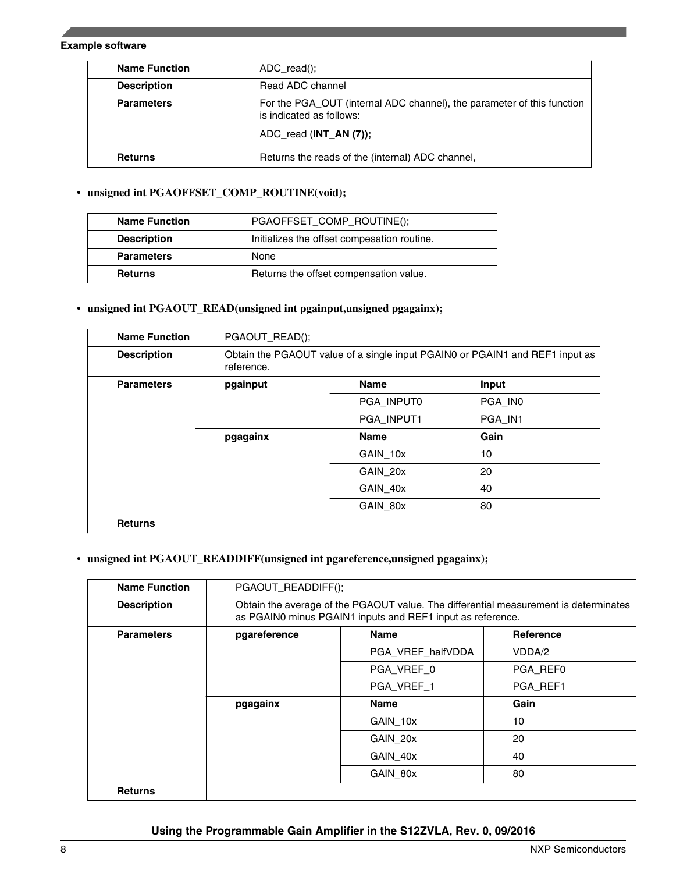#### **Example software**

| <b>Name Function</b> | $ADC read$ :                                                                                       |  |
|----------------------|----------------------------------------------------------------------------------------------------|--|
| <b>Description</b>   | Read ADC channel                                                                                   |  |
| <b>Parameters</b>    | For the PGA OUT (internal ADC channel), the parameter of this function<br>is indicated as follows: |  |
|                      | ADC read (INT AN (7));                                                                             |  |
| <b>Returns</b>       | Returns the reads of the (internal) ADC channel,                                                   |  |

#### • **unsigned int PGAOFFSET\_COMP\_ROUTINE(void);**

| <b>Name Function</b> | PGAOFFSET_COMP_ROUTINE();                   |  |
|----------------------|---------------------------------------------|--|
| <b>Description</b>   | Initializes the offset compesation routine. |  |
| <b>Parameters</b>    | None                                        |  |
| <b>Returns</b>       | Returns the offset compensation value.      |  |

#### • **unsigned int PGAOUT\_READ(unsigned int pgainput,unsigned pgagainx);**

| <b>Name Function</b> | PGAOUT_READ();                                                                             |                      |         |  |
|----------------------|--------------------------------------------------------------------------------------------|----------------------|---------|--|
| <b>Description</b>   | Obtain the PGAOUT value of a single input PGAIN0 or PGAIN1 and REF1 input as<br>reference. |                      |         |  |
| <b>Parameters</b>    | pgainput                                                                                   | <b>Name</b><br>Input |         |  |
|                      |                                                                                            | PGA INPUTO           | PGA INO |  |
|                      |                                                                                            | PGA INPUT1           | PGA IN1 |  |
|                      | <b>Name</b><br>pgagainx                                                                    |                      | Gain    |  |
|                      |                                                                                            | GAIN 10x             | 10      |  |
|                      |                                                                                            | GAIN 20x             | 20      |  |
|                      |                                                                                            | GAIN 40x             | 40      |  |
|                      |                                                                                            | GAIN 80x             | 80      |  |
| <b>Returns</b>       |                                                                                            |                      |         |  |

#### • **unsigned int PGAOUT\_READDIFF(unsigned int pgareference,unsigned pgagainx);**

| <b>Name Function</b> | PGAOUT_READDIFF();                                                                                                                                 |                   |                  |
|----------------------|----------------------------------------------------------------------------------------------------------------------------------------------------|-------------------|------------------|
| <b>Description</b>   | Obtain the average of the PGAOUT value. The differential measurement is determinates<br>as PGAIN0 minus PGAIN1 inputs and REF1 input as reference. |                   |                  |
| <b>Parameters</b>    | pgareference                                                                                                                                       | <b>Name</b>       | <b>Reference</b> |
|                      |                                                                                                                                                    | PGA_VREF_halfVDDA | VDDA/2           |
|                      |                                                                                                                                                    | PGA VREF 0        | PGA REF0         |
|                      |                                                                                                                                                    | PGA VREF 1        | PGA REF1         |
|                      | pgagainx                                                                                                                                           | <b>Name</b>       | Gain             |
|                      |                                                                                                                                                    | GAIN 10x          | 10               |
|                      |                                                                                                                                                    | GAIN 20x          | 20               |
|                      |                                                                                                                                                    | GAIN 40x          | 40               |
|                      |                                                                                                                                                    | GAIN 80x          | 80               |
| <b>Returns</b>       |                                                                                                                                                    |                   |                  |

#### **Using the Programmable Gain Amplifier in the S12ZVLA, Rev. 0, 09/2016**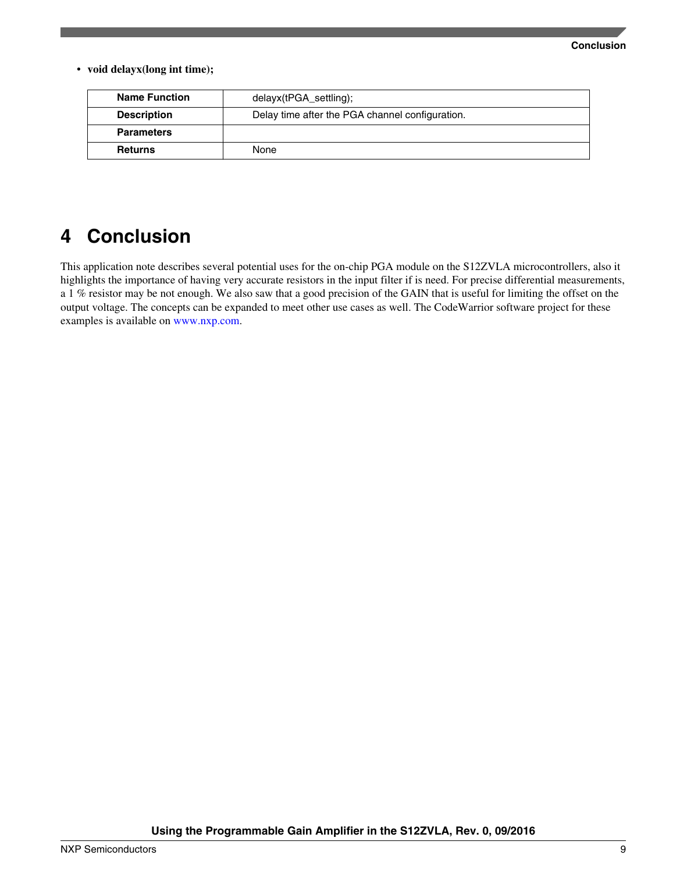#### **Conclusion**

<span id="page-8-0"></span>• **void delayx(long int time);**

| <b>Name Function</b> | delayx(tPGA_settling);                          |  |
|----------------------|-------------------------------------------------|--|
| <b>Description</b>   | Delay time after the PGA channel configuration. |  |
| <b>Parameters</b>    |                                                 |  |
| <b>Returns</b>       | None                                            |  |

### **4 Conclusion**

This application note describes several potential uses for the on-chip PGA module on the S12ZVLA microcontrollers, also it highlights the importance of having very accurate resistors in the input filter if is need. For precise differential measurements, a 1 % resistor may be not enough. We also saw that a good precision of the GAIN that is useful for limiting the offset on the output voltage. The concepts can be expanded to meet other use cases as well. The CodeWarrior software project for these examples is available on [www.nxp.com](http://www.nxp.com).